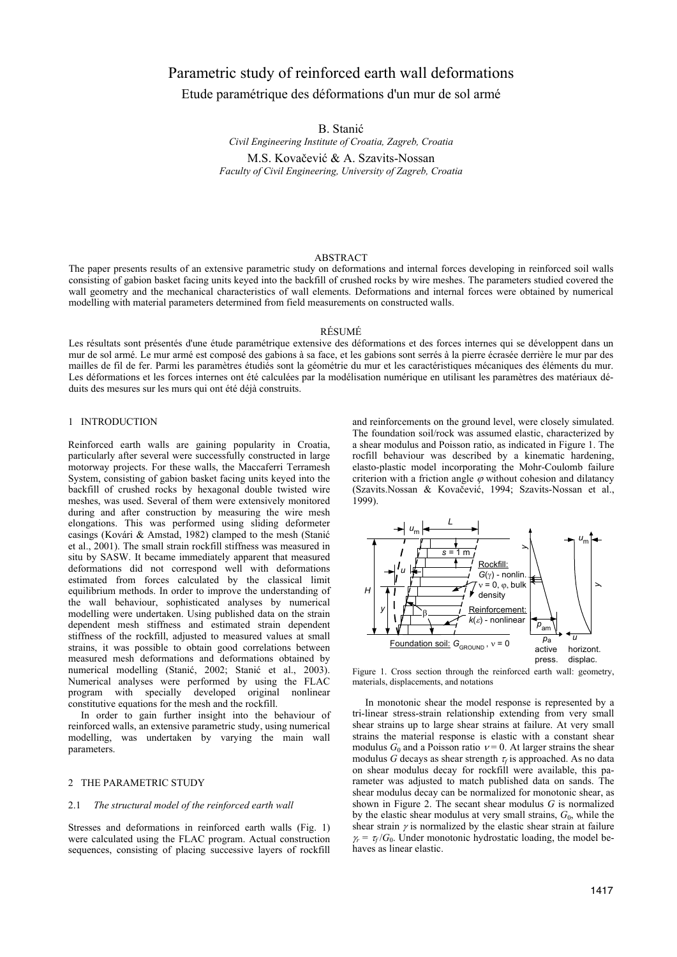# Parametric study of reinforced earth wall deformations

Etude paramétrique des déformations d'un mur de sol armé

B. Stanić

*Civil Engineering Institute of Croatia, Zagreb, Croatia* 

M.S. Kovačević & A. Szavits-Nossan *Faculty of Civil Engineering, University of Zagreb, Croatia* 

## ABSTRACT

The paper presents results of an extensive parametric study on deformations and internal forces developing in reinforced soil walls consisting of gabion basket facing units keyed into the backfill of crushed rocks by wire meshes. The parameters studied covered the wall geometry and the mechanical characteristics of wall elements. Deformations and internal forces were obtained by numerical modelling with material parameters determined from field measurements on constructed walls.

#### RÉSUMÉ

Les résultats sont présentés d'une étude paramétrique extensive des déformations et des forces internes qui se développent dans un mur de sol armé. Le mur armé est composé des gabions à sa face, et les gabions sont serrés à la pierre écrasée derrière le mur par des mailles de fil de fer. Parmi les paramètres étudiés sont la géométrie du mur et les caractéristiques mécaniques des éléments du mur. Les déformations et les forces internes ont été calculées par la modélisation numérique en utilisant les paramètres des matériaux déduits des mesures sur les murs qui ont été déjà construits.

## 1 INTRODUCTION

Reinforced earth walls are gaining popularity in Croatia, particularly after several were successfully constructed in large motorway projects. For these walls, the Maccaferri Terramesh System, consisting of gabion basket facing units keyed into the backfill of crushed rocks by hexagonal double twisted wire meshes, was used. Several of them were extensively monitored during and after construction by measuring the wire mesh elongations. This was performed using sliding deformeter casings (Kovári & Amstad, 1982) clamped to the mesh (Stani� et al., 2001). The small strain rockfill stiffness was measured in situ by SASW. It became immediately apparent that measured deformations did not correspond well with deformations estimated from forces calculated by the classical limit equilibrium methods. In order to improve the understanding of the wall behaviour, sophisticated analyses by numerical modelling were undertaken. Using published data on the strain dependent mesh stiffness and estimated strain dependent stiffness of the rockfill, adjusted to measured values at small strains, it was possible to obtain good correlations between measured mesh deformations and deformations obtained by numerical modelling (Stanić, 2002; Stanić et al., 2003). Numerical analyses were performed by using the FLAC<br>program with specially developed original nonlinear developed original nonlinear co nstitutive equations for the mesh and the rockfill.

modelling, was undertaken by varying the main wall parameters. In order to gain further insight into the behaviour of reinforced walls, an extensive parametric study, using numerical

## 2 THE PARAMETRIC STUDY

## 2.1 *The structural model of the reinforced earth wall*

Stresses and deformations in reinforced earth walls (Fig. 1) were calculated using the FLAC program. Actual construction sequences, consisting of placing successive layers of rockfill (Szavits.Nossan & Kovačević, 1994; Szavits-Nossan et al., 1999). and reinforcements on the ground level, were closely simulated. The foundation soil/rock was assumed elastic, characterized by a shear modulus and Poisson ratio, as indicated in Figure 1. The rocfill behaviour was described by a kinematic hardening, elasto-plastic model incorporating the Mohr-Coulomb failure criterion with a friction angle  $\varphi$  without cohesion and dilatancy



Figure 1. Cross section through the reinforced earth wall: geometry, materials, displacements, and notations

 $\gamma_r = \tau_f/G_0$ . Under monotonic hydrostatic loading, the model behaves as linear elastic. In monotonic shear the model response is represented by a tri-linear stress-strain relationship extending from very small shear strains up to large shear strains at failure. At very small strains the material response is elastic with a constant shear modulus  $G_0$  and a Poisson ratio  $v = 0$ . At larger strains the shear modulus *G* decays as shear strength  $\tau_f$  is approached. As no data on shear modulus decay for rockfill were available, this parameter was adjusted to match published data on sands. The shear modulus decay can be normalized for monotonic shear, as shown in Figure 2. The secant shear modulus *G* is normalized by the elastic shear modulus at very small strains,  $G_0$ , while the shear strain  $\gamma$  is normalized by the elastic shear strain at failure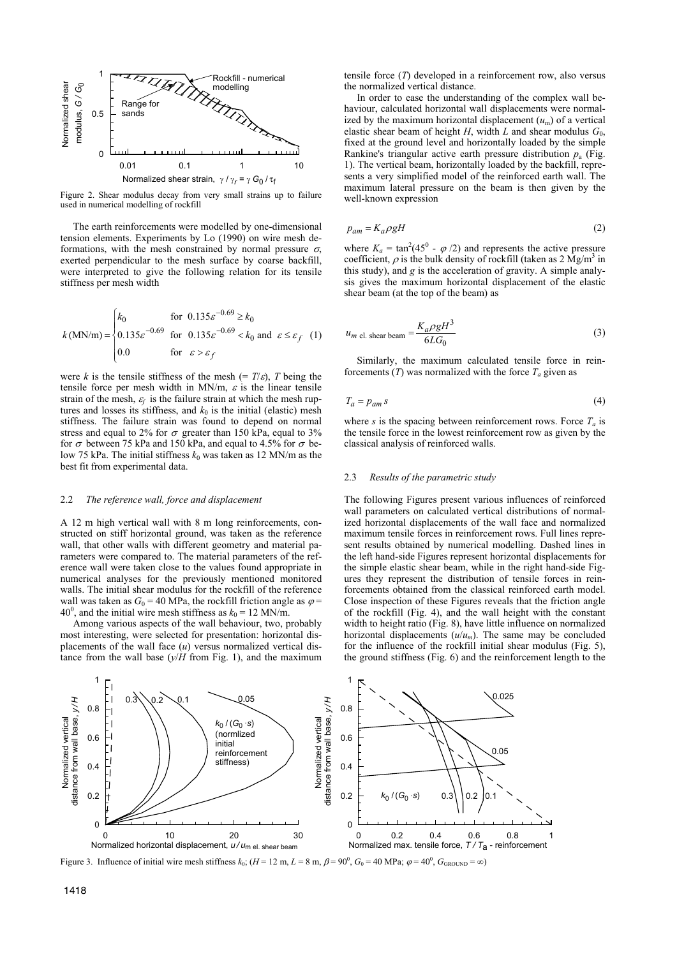

Figure 2. Shear modulus decay from very small strains up to failure used in numerical modelling of rockfill

The earth reinforcements were modelled by one-dimensional tension elements. Experiments by Lo (1990) on wire mesh deformations, with the mesh constrained by normal pressure  $\sigma$ . exerted perpendicular to the mesh surface by coarse backfill, were interpreted to give the following relation for its tensile stiffness per mesh width

$$
k(\text{MN/m}) = \begin{cases} k_0 & \text{for } 0.135\varepsilon^{-0.69} \ge k_0 \\ 0.135\varepsilon^{-0.69} & \text{for } 0.135\varepsilon^{-0.69} < k_0 \text{ and } \varepsilon \le \varepsilon_f \\ 0.0 & \text{for } \varepsilon > \varepsilon_f \end{cases} \quad (1)
$$

were *k* is the tensile stiffness of the mesh (=  $T/\varepsilon$ ), *T* being the tensile force per mesh width in MN/m,  $\varepsilon$  is the linear tensile strain of the mesh,  $\varepsilon_f$  is the failure strain at which the mesh ruptures and losses its stiffness, and  $k_0$  is the initial (elastic) mesh stiffness. The failure strain was found to depend on normal stress and equal to 2% for  $\sigma$  greater than 150 kPa, equal to 3% for  $\sigma$  between 75 kPa and 150 kPa, and equal to 4.5% for  $\sigma$  below 75 kPa. The initial stiffness  $k_0$  was taken as 12 MN/m as the best fit from experimental data.

#### 2.2 *The reference wall, force and displacement*

A 12 m high vertical wall with 8 m long reinforcements, constructed on stiff horizontal ground, was taken as the reference wall, that other walls with different geometry and material parameters were compared to. The material parameters of the reference wall were taken close to the values found appropriate in numerical analyses for the previously mentioned monitored walls. The initial shear modulus for the rockfill of the reference wall was taken as  $G_0 = 40$  MPa, the rockfill friction angle as  $\varphi =$ 40<sup>0</sup>, and the initial wire mesh stiffness as  $k_0 = 12$  MN/m.

Among various aspects of the wall behaviour, two, probably most interesting, were selected for presentation: horizontal displacements of the wall face (*u*) versus normalized vertical distance from the wall base  $(y/H)$  from Fig. 1), and the maximum tensile force (*T*) developed in a reinforcement row, also versus the normalized vertical distance.

In order to ease the understanding of the complex wall behaviour, calculated horizontal wall displacements were normalized by the maximum horizontal displacement  $(u_m)$  of a vertical elastic shear beam of height *H*, width *L* and shear modulus  $G_0$ , fixed at the ground level and horizontally loaded by the simple Rankine's triangular active earth pressure distribution  $p_a$  (Fig. 1). The vertical beam, horizontally loaded by the backfill, represents a very simplified model of the reinforced earth wall. The maximum lateral pressure on the beam is then given by the well-known expression

$$
p_{am} = K_a \rho g H \tag{2}
$$

where  $K_a = \tan^2(45^\circ - \varphi/2)$  and represents the active pressure coefficient,  $\rho$  is the bulk density of rockfill (taken as 2 Mg/m<sup>3</sup> in this study), and *g* is the acceleration of gravity. A simple analysis gives the maximum horizontal displacement of the elastic shear beam (at the top of the beam) as

$$
u_{m \text{ el. shear beam}} = \frac{K_a \rho g H^3}{6L G_0} \tag{3}
$$

Similarly, the maximum calculated tensile force in reinforcements  $(T)$  was normalized with the force  $T_a$  given as

$$
T_a = p_{am} s \tag{4}
$$

where *s* is the spacing between reinforcement rows. Force  $T_a$  is the tensile force in the lowest reinforcement row as given by the classical analysis of reinforced walls.

#### 2.3 *Results of the parametric study*

The following Figures present various influences of reinforced wall parameters on calculated vertical distributions of normalized horizontal displacements of the wall face and normalized maximum tensile forces in reinforcement rows. Full lines represent results obtained by numerical modelling. Dashed lines in the left hand-side Figures represent horizontal displacements for the simple elastic shear beam, while in the right hand-side Figures they represent the distribution of tensile forces in reinforcements obtained from the classical reinforced earth model. Close inspection of these Figures reveals that the friction angle of the rockfill (Fig. 4), and the wall height with the constant width to height ratio (Fig. 8), have little influence on normalized horizontal displacements  $(u/u_m)$ . The same may be concluded for the influence of the rockfill initial shear modulus (Fig. 5), the ground stiffness (Fig. 6) and the reinforcement length to the



Figure 3. Influence of initial wire mesh stiffness  $k_0$ ;  $(H = 12 \text{ m}, L = 8 \text{ m}, \beta = 90^0, G_0 = 40 \text{ MPa}$ ;  $\phi = 40^0, G_{\text{GROUND}} = \infty$ )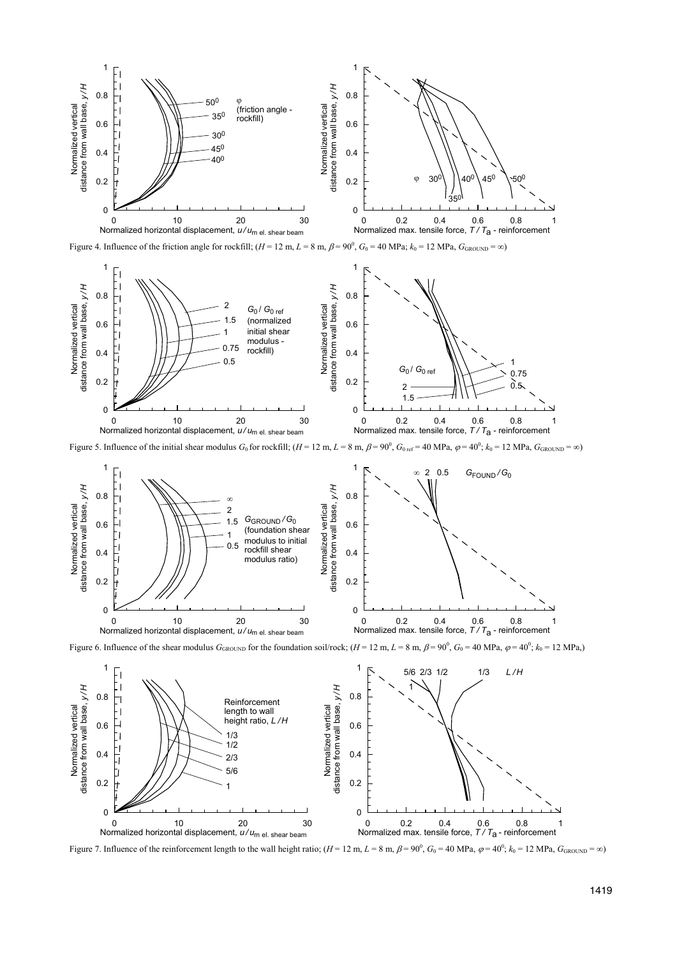

Figure 4. Influence of the friction angle for rockfill;  $(H = 12 \text{ m}, L = 8 \text{ m}, \beta = 90^0, G_0 = 40 \text{ MPa}; k_0 = 12 \text{ MPa}, G_{\text{GROUND}} = \infty$ 



Figure 5. Influence of the initial shear modulus  $G_0$  for rockfill;  $(H = 12 \text{ m}, L = 8 \text{ m}, \beta$  $G_{0 \text{ ref}} = 40 \text{ MPa}, \ \varphi = 40^{\circ}, k_0 = 12 \text{ MPa}, \ G_{\text{GROUND}} = \infty$ 



Figure 6. Influence of the shear modulus  $G_{\text{GROUND}}$  for the foundation soil/rock;  $(H = 12 \text{ m}, L = 8 \text{ m}, \beta = 90^0, G_0 = 40 \text{ MPa}, \phi = 40^0; k_0 = 12 \text{ MPa}$ ,



Figure 7. Influence of the reinforcement length to the wall height ratio;  $(H = 12 \text{ m}, L = 8 \text{ m}, \beta = 90^0, G_0 = 40 \text{ MPa}, \phi = 40^0; k_0 = 12 \text{ MPa}, G_{\text{GROUND}} = \infty$